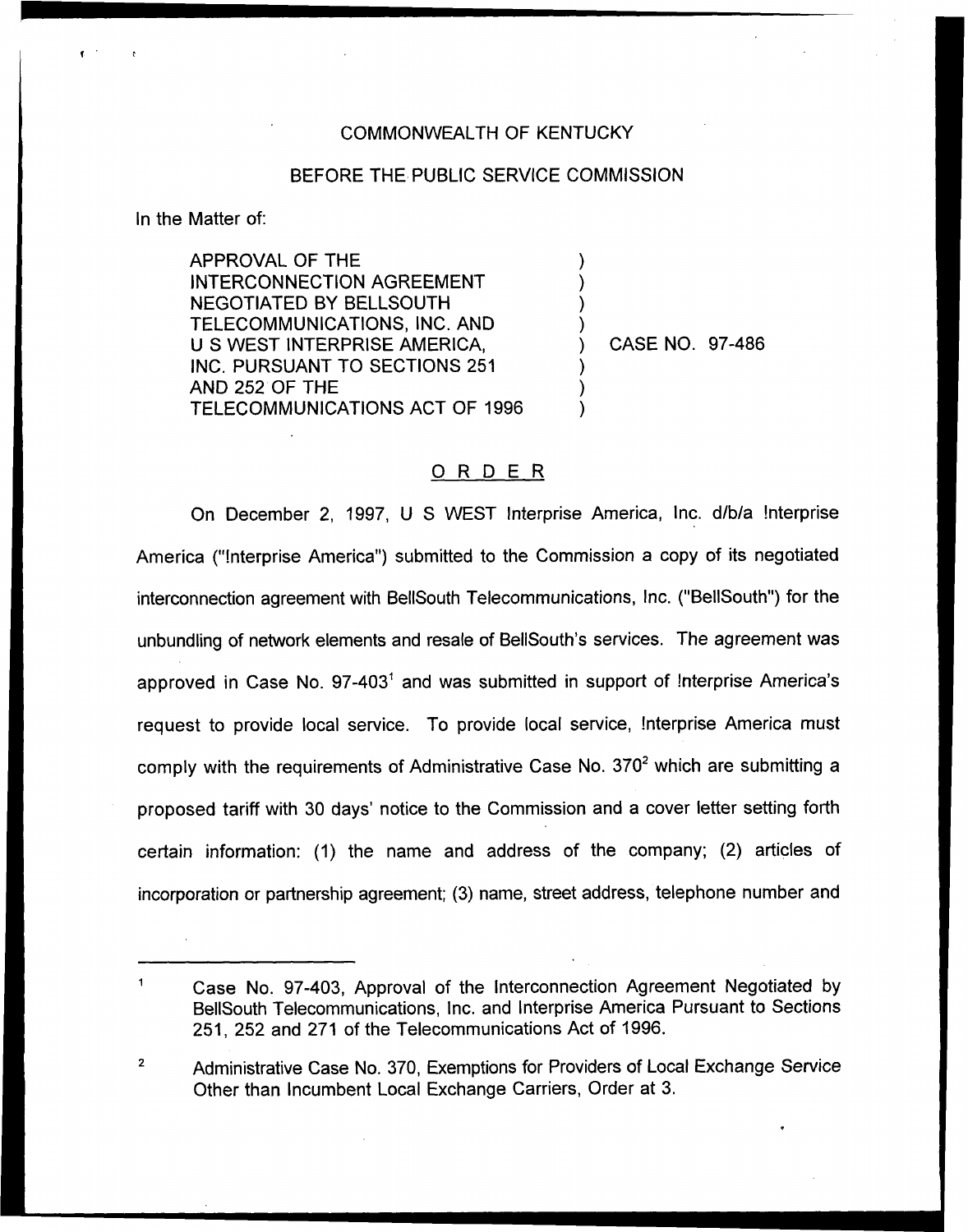## COMMONWEALTH OF KENTUCKY

## BEFORE THE PUBLIC SERVICE COMMISSION

) ) ) )

) ) )

In the Matter of:

APPROVAL OF THE INTERCONNECTION AGREEMENT NEGOTIATED BY BELLSOUTH TELECOMMUNICATIONS, INC. AND <sup>U</sup> S WEST INTERPRISE AMERICA, INC. PURSUANT TO SECTIONS 251 AND 252 OF THE TELECOMMUNICATIONS ACT OF 1996

) CASE NO. 97-486

## ORDER

On December 2, 1997, <sup>U</sup> S WEST lnterprise America, Inc. d/b/a !nterprise America ("!nterprise America") submitted to the Commission a copy of its negotiate interconnection agreement with BellSouth Telecommunications, Inc. ("BellSouth") for the unbundling of network elements and resale of BellSouth's services. The agreement was approved in Case No.  $97-403^1$  and was submitted in support of Interprise America's request to provide local service. To provide local service, !nterprise America must comply with the requirements of Administrative Case No.  $370<sup>2</sup>$  which are submitting a proposed tariff with 30 days' notice to the Commission and a cover letter setting forth certain information: (1) the name and address of the company; (2) articles of incorporation or partnership agreement; (3) name, street address, telephone number and

Administrative Case No. 370, Exemptions for Providers of Local Exchange Service  $\overline{2}$ Other than Incumbent Local Exchange Carriers, Order at 3.

Case No. 97-403, Approval of the Interconnection Agreement Negotiated by BellSouth Telecommunications, Inc. and Interprise America Pursuant to Sections 251, 252 and 271 of the Telecommunications Act of 1996.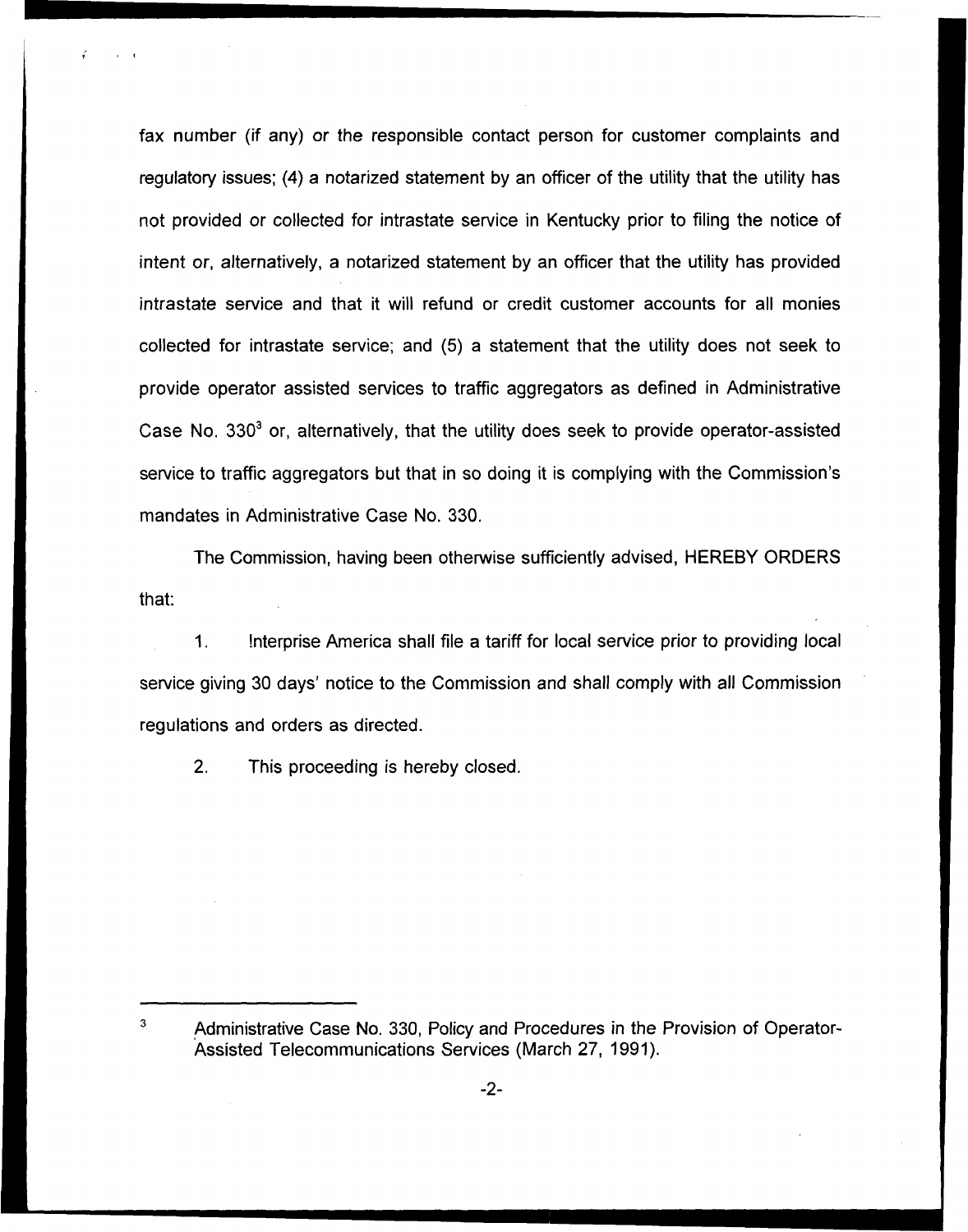fax number (if any) or the responsible contact person for customer complaints and regulatory issues; (4) a notarized statement by an officer of the utility that the utility has not provided or collected for intrastate service in Kentucky prior to filing the notice of intent or, alternatively, a notarized statement by an officer that the utility has provided intrastate service and that it will refund or credit customer accounts for all monies collected for intrastate service; and (5) a statement that the utility does not seek to provide operator assisted services to traffic aggregators as defined in Administrative Case No.  $330<sup>3</sup>$  or, alternatively, that the utility does seek to provide operator-assisted service to traffic aggregators but that in so doing it is complying with the Commission's mandates in Administrative Case No. 330.

The Commission, having been otherwise sufficiently advised, HEREBY ORDERS that:

 $1<sub>1</sub>$ !nterprise America shall file a tariff for local service prior to providing local service giving 30 days' notice to the Commission and shall comply with all Commission regulations and orders as directed.

2. This proceeding is hereby closed.

 $\mathbf{3}$ Administrative Case No. 330, Policy and Procedures in the Provision of Operator-Assisted Telecommunications Services (March 27, 1991).